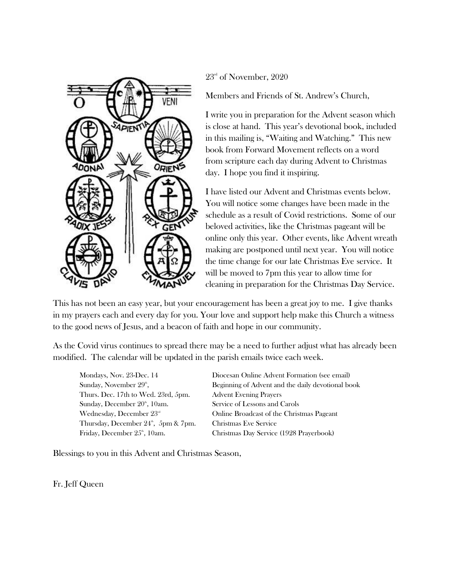

 $23<sup>rd</sup>$  of November, 2020

Members and Friends of St. Andrew's Church,

I write you in preparation for the Advent season which is close at hand. This year's devotional book, included in this mailing is, "Waiting and Watching." This new book from Forward Movement reflects on a word from scripture each day during Advent to Christmas day. I hope you find it inspiring.

I have listed our Advent and Christmas events below. You will notice some changes have been made in the schedule as a result of Covid restrictions. Some of our beloved activities, like the Christmas pageant will be online only this year. Other events, like Advent wreath making are postponed until next year. You will notice the time change for our late Christmas Eve service. It will be moved to 7pm this year to allow time for cleaning in preparation for the Christmas Day Service.

This has not been an easy year, but your encouragement has been a great joy to me. I give thanks in my prayers each and every day for you. Your love and support help make this Church a witness to the good news of Jesus, and a beacon of faith and hope in our community.

As the Covid virus continues to spread there may be a need to further adjust what has already been modified. The calendar will be updated in the parish emails twice each week.

Sunday, November  $29^{\circ}$ , Thurs. Dec. 17th to Wed. 23rd, 5pm. Advent Evening Prayers Sunday, December 20<sup>th</sup>, 10am. Service of Lessons and Carols Thursday, December  $24^{\circ}$ , 5pm & 7pm.

Mondays, Nov. 23-Dec. 14 Diocesan Online Advent Formation (see email) , Beginning of Advent and the daily devotional book Wednesday, December  $23<sup>rd</sup>$  Online Broadcast of the Christmas Pageant Christmas Eve Service Friday, December 25<sup>th</sup>, 10am. Christmas Day Service (1928 Prayerbook)

Blessings to you in this Advent and Christmas Season,

Fr. Jeff Queen